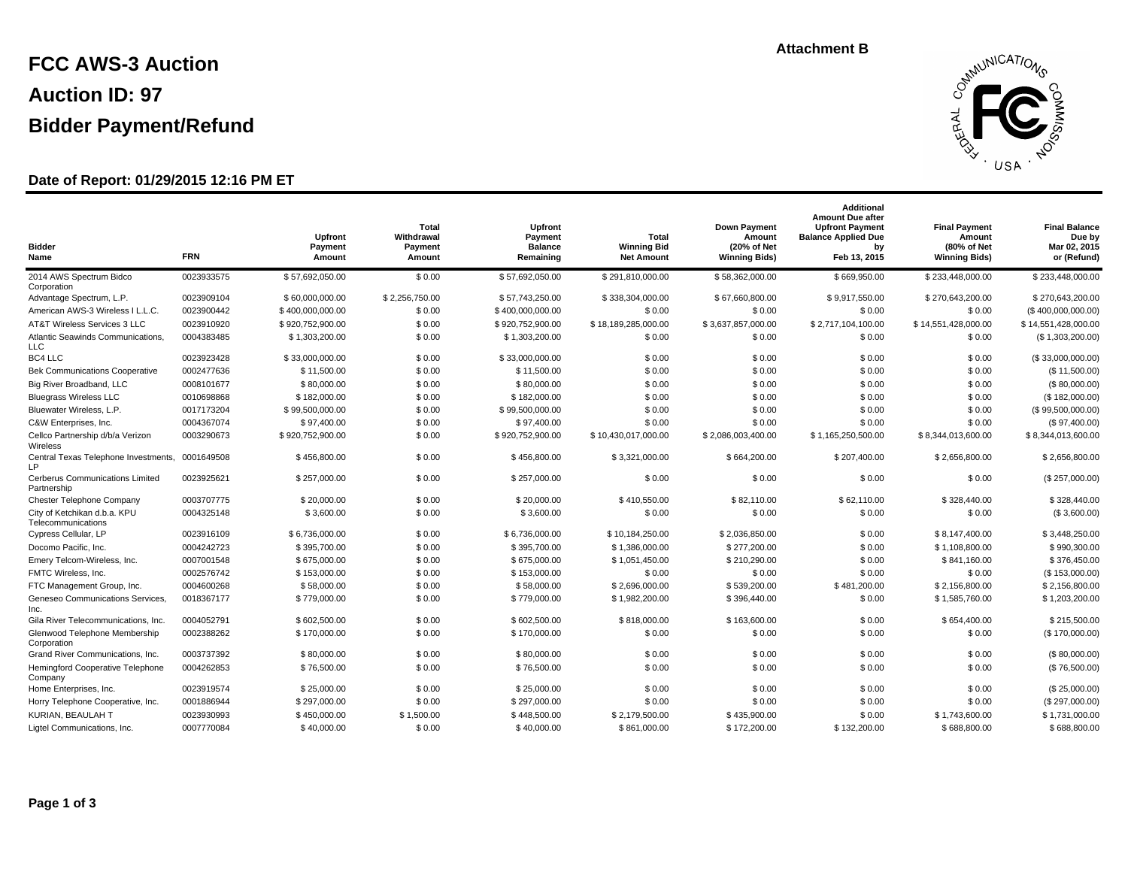# **FCC AWS-3 Auction Auction ID: 97 Bidder Payment/Refund**

### **Date of Report: 01/29/2015 12:16 PM ET**

#### **Total Withdrawal Payment Amount Upfront Payment Amount Bidder Name FRN Final Balance Due by Mar 02, 2015 or (Refund) Final Payment Amount (80% of Net Winning Bids) Total Winning Bid Net Amount Additional Amount Due after Upfront Payment Balance Applied Due by Feb 13, 2015 Down Payment Amount (20% of Net Winning Bids) Upfront Payment Balance Remaining** 2014 AWS Spectrum Bidco \$ 57,692,050.00 \$ 0.00 Corporation 0023933575 \$ 57,692,050.00 \$ 0.00 \$ 57,692,050.00 \$ 291,810,000.00 \$ 58,362,000.00 \$ 669,950.00 \$ 233,448,000.00 \$ 233,448,000.00 Advantage Spectrum, L.P. 0023909104 \$ 60,000,000.00 \$ 2,256,750.00 \$ 57,743,250.00 \$ 338,304,000.00 \$ 67,660,800.00 \$ 9,917,550.00 \$ 270,643,200.00 \$ 270,643,200.00 American AWS-3 Wireless I L.L.C. 0023900442 \$400,000,000.00 \$ 0.00 \$ 400,000,000.00 \$ 0.00 \$ 0.00 \$ 0.00 \$ 0.00 \$ 0.00 \$ 0.00 \$ 0.00 \$ 0.00 (\$ 400,000,000.00) AT&T Wireless Services 3 LLC 0023910920 \$ 920,752,900.00 \$ \$ 0.00 \$ 18,189,285,000.00 \$ 16,189,285,000.00 \$ 16,57,857,000.00 \$ 2,717,104,100.00 \$ 14,551,428,000.00 \$ 14,551,428,000.00 Atlantic Seawinds Communications,  $0.004383485$  \$ 1,303,200.00 \$ 0.00 LLC 0004383485 \$ 1,303,200.00 \$ 0.00 \$ 0.00 \$ 0.00 \$ 0.00 (\$ 1,303,200.00) BC4 LLC 0023923428 \$ 33,000,000.00 \$ 0.00 \$ 33,000,000.00 \$ 0.00 \$ 0.00 \$ 0.00 \$ 0.00 (\$ 33,000,000.00) Bek Communications Cooperative 0002477636 \$ 11,500.00 \$ 0.00 \$ 11,500.00 \$ 11,500.00 \$ 0.00 \$ 0.00 \$ 0.00 \$ 0.00 \$ 0.00 \$ 0.00 \$ 0.00 \$ 0.00 \$ 0.00 \$ 0.00 (\$ 11,500.00) Big River Broadband, LLC 0008101677 \$ 80,000.00 \$ 0.00 \$ 80,000.00 \$ 0.00 \$ 0.00 \$ 0.00 \$ 0.00 (\$ 80,000.00) Bluegrass Wireless LLC 0010698868 \$ 182,000.00 \$ 0.00 \$ 182,000.00 \$ 0.00 \$ 0.00 \$ 0.00 \$ 0.00 (\$ 182,000.00) Bluewater Wireless, L.P. 0017173204 \$ 99,500,000.00 \$ 0.00 \$ 99,500,000.00 \$ 0.00 \$ 0.00 \$ 0.00 \$ 0.00 (\$ 99,500,000.00) C&W Enterprises, Inc. 0004367074 \$ 97,400.00 \$ 0.00 \$ 97,400.00 \$ 0.00 \$ 0.00 \$ 0.00 \$ 0.00 (\$ 97,400.00) Cellco Partnership d/b/a Verizon \$ 920,752,900.00 \$ 0.00 **Wireless** 0003290673 \$ 920,752,900.00 \$ 10,430,017,000.00 \$ 2,086,003,400.00 \$ 1,165,250,500.00 \$ 8,344,013,600.00 \$ 8,344,013,600.00 Central Texas Telephone Investments, 0001649508 \$6456,800.00 \$60.00 LP 0001649508 \$ 456,800.00 \$ \$ 0.00 \$ 456,800.00 \$ 3,321,000.00 \$ \$ 64,200.00 \$ 207,400.00 \$ 2,656,800.00 \$ 2,656,800.00 Cerberus Communications Limited 0023925621 \$257,000.00 \$0.00 Partnership 0023925621 \$257,000.00 \$0.00 \$257,000.00 \$257,000.00 \$0.00 \$0.00 \$0.00 \$0.00 \$0.00 \$0.00 \$257,000.00) Chester Telephone Company 0003707775 \$ 20,000.00 \$ 0.00 \$ 20,000.00 \$ 410,550.00 \$ 82,110.00 \$ 328,440.00 \$ 328,440.00 City of Ketchikan d.b.a. KPU  $0004325148$  \$3,600.00 \$ 0.00 **Telecommunications** 0004325148 \$3,600.00 \$0.00 \$0.00 \$3,600.00 \$0.00 \$0.00 \$0.00 \$0.00 \$0.00 \$0.00 \$0.00 \$0.00 \$0.00 (\$3,600.00) Cypress Cellular, LP 0023916109 \$ 6,736,000.00 \$ 0.00 \$ 6,736,000.00 \$ 5,736,000.00 \$ 5,108,850.00 \$ 2,036,850.00 \$ 0.00 \$ 8,147,400.00 \$ 3,448,250.00 Docomo Pacific, Inc. 0004242723 \$ 395,700.00 \$ 0.00 \$ 395,700.00 \$ 1,386,000.00 \$ 277,200.00 \$ 0.00 \$ 1,108,800.00 \$ 990,300.00 Emery Telcom-Wireless, Inc. 0007001548 \$ 675,000.00 \$ 0.00 \$ 675,000.00 \$ 1,051,450.00 \$ 210,290.00 \$ 0.00 \$ 841,160.00 \$ 376,450.00 FMTC Wireless, Inc. 0002576742 \$ 153,000.00 \$ 0.00 \$ 153,000.00 \$ 0.00 \$ 0.00 \$ 0.00 \$ 0.00 (\$ 153,000.00) FTC Management Group, Inc. 0004600268 \$ 58,000.00 \$ 0.00 \$ 58,000.00 \$ 2,696,000.00 \$ 539,200.00 \$ 481,200.00 \$ 2,156,800.00 \$ 2,156,800.00 Geneseo Communications Services, \$ 779,000.00 \$ 0.00 Inc. 0018367177 \$ 779,000.00 \$ 0.00 \$ 779,000.00 \$ 1,982,200.00 \$ 396,440.00 \$ 0.00 \$ 1,585,760.00 \$ 1,203,200.00 Gila River Telecommunications, Inc. 0004052791 \$602,500.00 \$ 0.00 \$ 0.00 \$ 602,500.00 \$ 818,000.00 \$ 163,600.00 \$ 0.00 \$ 654,400.00 \$ 215,500.00 Glenwood Telephone Membership \$ 170,000.00 \$ 0.00 Corporation 0002388262 \$ 170,000.00 \$ 0.00 \$ 0.00 \$ 0.00 \$ 0.00 (\$ 170,000.00) Grand River Communications, Inc. 0003737392 \$ 80,000.00 \$ 0.00 \$ 80,000.00 \$ 0.00 \$ 0.00 \$ 0.00 \$ 0.00 (\$ 80,000.00) Hemingford Cooperative Telephone  $0004262853$  \$76,500.00 \$ 0.00 Company 0004262853 \$ 76,500.00 \$ 0.00 \$ 0.00 \$ 0.00 \$ 0.00 (\$ 76,500.00) Home Enterprises, Inc. 0023919574 \$ 25,000.00 \$ 0.00 \$ 25,000.00 \$ 0.00 \$ 0.00 \$ 0.00 \$ 0.00 (\$ 25,000.00) Horry Telephone Cooperative, Inc. 0001886944 \$297,000.00 \$ 0.00 \$ 297,000.00 \$ 0.00 \$ 0.00 \$ 0.00 \$ 0.00 \$ 0.00 \$ 0.00 (\$ 297,000.00) KURIAN, BEAULAH T 0023930993 \$ 450,000.00 \$ 1,500.00 \$ 448,500.00 \$ 2,179,500.00 \$ 435,900.00 \$ 0.00 \$ 1,743,600.00 \$ 1,731,000.00 Ligtel Communications, Inc. 0007770084 \$ 40,000.00 \$ 0.00 \$ 40,000.00 \$ 861,000.00 \$ 172,200.00 \$ 132,200.00 \$ 688,800.00 \$ 688,800.00

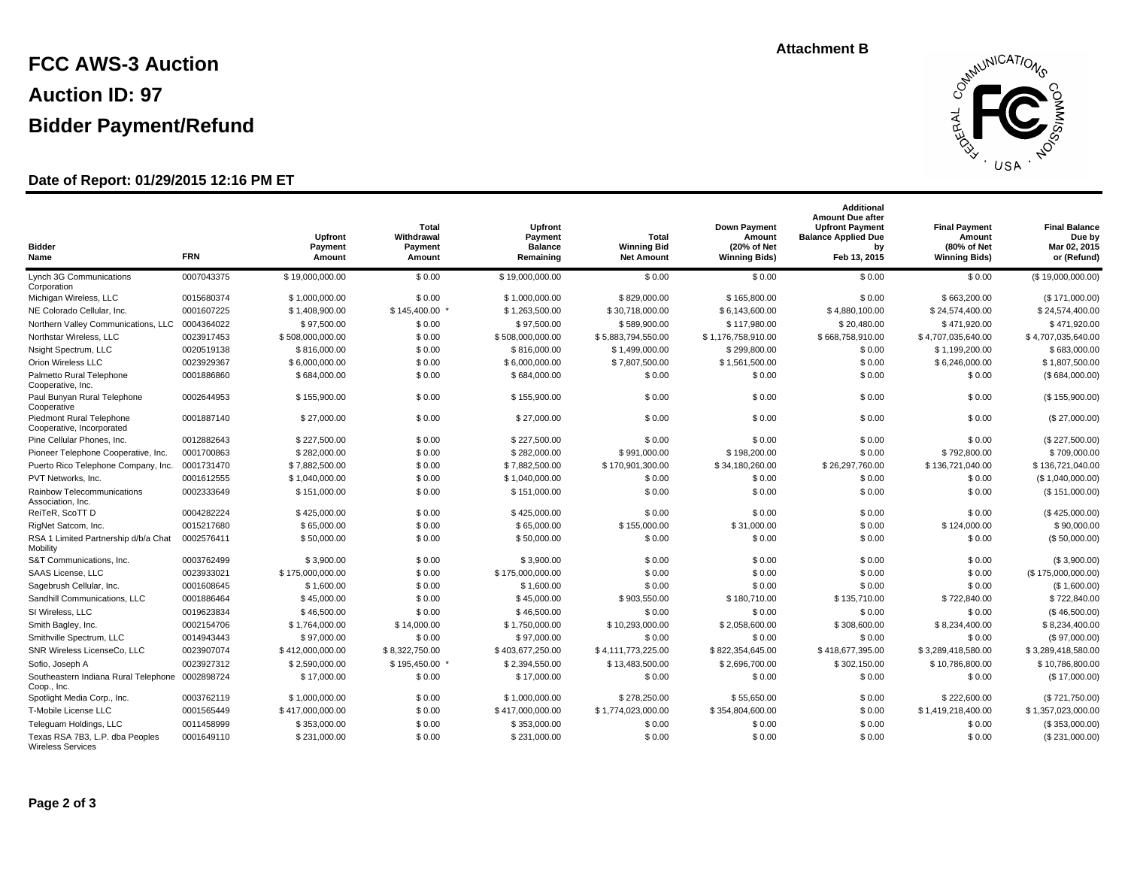# **FCC AWS-3 Auction Auction ID: 97 Bidder Payment/Refund**

### **Date of Report: 01/29/2015 12:16 PM ET**

#### **Total Withdrawal Payment Amount Upfront Payment Amount Bidder Name FRN Final Balance Due by Mar 02, 2015 or (Refund) Final Payment Amount (80% of Net Winning Bids) Total Winning Bid Net Amount Additional Amount Due after Upfront Payment Balance Applied Due by Feb 13, 2015 Down Payment Amount (20% of Net Winning Bids) Upfront Payment Balance Remaining** Lynch 3G Communications  $0.007043375$  \$ 19,000,000,000 \$ 0.00 Corporation 0007043375 \$ 19,000,000.00 \$ 0.00 \$ 0.00 \$ 0.00 \$ 0.00 (\$ 19,000,000.00) Michigan Wireless, LLC 0015680374 \$ 1,000,000.00 \$ 0.00 \$ 1,000,000.00 \$ 829,000.00 \$ 165,800.00 \$ 0.00 \$ 663,200.00 (\$ 171,000.00) NE Colorado Cellular, Inc. 0001607225 \$ 1,408,900.00 \$ 1,456,400.00 \$ 1,563,500.00 \$ 30,718,000.00 \$ 5,143,600.00 \$ 4,880,100.00 \$ 24,574,400.00 \$ 24,574,400.00 Northern Valley Communications, LLC 0004364022 \$ 97,500.00 \$ 07,500.00 \$ 07,500.00 \$ 97,500.00 \$ 97,500.00 \$ 97<br>
\$ 97,500.00 \$ 97,500.00 \$ 97,500.00 \$ 97,500.00 \$ 97,500.00 \$ 97,500.00 \$ 589,900.00 \$ 117,980.00 \$ 20,480.00 Northstar Wireless, LLC 0023917453 \$ 508,000,000.00 \$ 0.00 \$ 508,000,000.00 \$ 5,883,794,550.00 \$ 1,176,758,910.00 \$ 668,758,910.00 \$ 4,707,035,640.00 \$ 4,707,035,640.00 Nsight Spectrum, LLC 0020519138 \$ 816,000.00 \$ 9.00 \$ 816,000.00 \$ 1,499,000.00 \$ 299,800.00 \$ 0.00 \$ 1,199,200.00 \$ 683,000.00 Orion Wireless LLC 0023929367 \$ 6,000,000.00 \$ 0.00 \$ 6,000,000.00 \$ 6,000,000.00 \$ 6,000,000.00 \$ 6,000,000.00 \$ 6,000,000.00 \$ 6,000,000.00 \$ 6,000,000.00 \$ 6,000,000.00 Palmetto Rural Telephone  $0001886860$  \$ 684,000.00 \$ 0.00 Cooperative, Inc. 0001886860 \$ 684,000.00 \$ 0.00 \$ 0.00 \$ 0.00 \$ 0.00 \$ 0.00 (\$ 684,000.00) Paul Bunyan Rural Telephone  $0002644953$  \$155,900.00 \$0.00 Cooperative 0002644953 \$ 155,900.00 \$ 0.00 \$ 0.00 \$ 0.00 \$ 0.00 (\$ 155,900.00) Piedmont Rural Telephone  $0001887140$  \$ 27,000.00 \$ 0.00 Cooperative, Incorporated 0001887140 \$27,000.00 \$ 0.00 \$ 27,000.00 \$ 0.00 \$ 0.00 \$ 0.00 (\$ 27,000.00) Pine Cellular Phones, Inc. 0012882643 \$ 227,500.00 \$ 0.00 \$ 227,500.00 \$ 0.00 \$ 0.00 \$ 0.00 \$ 0.00 (\$ 227,500.00) Pioneer Telephone Cooperative, Inc. 0001700863 \$282,000.00 \$ \$ \$ \$ \$ \$ 282,000.00 \$ 282,000.00 \$ 991,000.00 \$ 798,000.00 \$ 799,000.00 \$ 709,000.00 \$ 709,000.00 \$ 709,000.00 Puerto Rico Telephone Company, Inc. 0001731470 \$ 7,882,500.00 \$ 0.00 \$ 7,882,500.00 \$ 170,901,300.00 \$ 170,901,300.00 \$ 34,180,260.00 \$ 26,297,760.00 \$ 136,721,040.00 \$ 136,721,040.00 PVT Networks, Inc. 0001612555 \$ 1,040,000.00 \$ 0.00 \$ 1,040,000.00 \$ 0.00 \$ 0.00 \$ 0.00 \$ 0.00 (\$ 1,040,000.00) Rainbow Telecommunications 0002333649 \$ 151,000.00 \$ 0.00 Association, Inc. 0002333649 \$ 151,000.00 \$ 0.00 \$ 0.00 \$ 0.00 \$ 0.00 (\$ 151,000.00) ReiTeR, ScoTT D 0004282224 \$ 425,000.00 \$ 0.00 \$ 425,000.00 \$ 0.00 \$ 0.00 \$ 0.00 \$ 0.00 (\$ 425,000.00) RigNet Satcom, Inc. 0015217680 \$ 65,000.00 \$ 6.000.00 \$ 155,000.00 \$ 0.000.00 \$ 0.000.00 \$ 0.000.00 RSA 1 Limited Partnership d/b/a Chat 0002576411 \$ 50,000.00 \$ 0.00 \$ 0.00 Mobility 0002576411 \$50,000.00 \$0.00 \$0.00 \$50,000.00 \$0.00 \$0.00 \$0.00 \$0.00 \$0.00 \$0.00 \$0.00 \$0.00 \$0.00 \$0.00 (\$ 50,000.00) S&T Communications, Inc. 0003762499 \$ 3,900.00 \$ 0.00 \$ 3,900.00 \$ 0.00 \$ 0.00 \$ 0.00 \$ 0.00 (\$ 3,900.00) SAAS License, LLC 0023933021 \$ 175,000,000.00 \$ 0.00 \$ 175,000,000.00 \$ 0.00 \$ 0.00 \$ 0.00 \$ 0.00 (\$ 175,000,000.00) Sagebrush Cellular, Inc. 0001608645 \$ 1,600.00 \$ 0.00 \$ 1,600.00 \$ 0.00 \$ 0.00 \$ 0.00 \$ 0.00 (\$ 1,600.00) Sandhill Communications, LLC 0001886464 \$ 45,000.00 \$ 0.00 \$ 903,550.00 \$ 100,710.00 \$ 722,840.00 \$ 722,840.00 SI Wireless, LLC 0019623834 \$ 46,500.00 \$ 46,500.00 \$ 46,500.00 \$ 46,500.00 \$ 46,500.00 \$ 46,500.00 \$ 46,500.00 \$ 46,500.00 \$ 46,500.00 \$ 46,500.00 \$ 46,5 Smith Bagley, Inc. 0002154706 \$ 1,764,000.00 \$ 14,000.00 \$ 1,750,000.00 \$ 10,293,000.00 \$ 2,058,600.00 \$ 308,600.00 \$ 8,234,400.00 \$ 8,234,400.00 Smithville Spectrum, LLC 0014943443 \$ 97,000.00 \$ 0.700 \$ 97,000.00 \$ 97,000.00 \$ 97,000.00 \$ 97,000.00 \$ 97,000.00 \$ 97,000.00 \$ 0.00 \$ 0.00 SNR Wireless LicenseCo, LLC 0023907074 \$ 412,000,000.00 \$ 8,322,750.00 \$ 403,677,250.00 \$ 4,111,773,225.00 \$ 822,354,645.00 \$ 418,677,395.00 \$ 3,289,418,580.00 \$ 3,289,418,580.00 Sofio, Joseph A 0023927312 \$ 2,590,000.00 \$ 195,450.00 \$ 2,394,550.00 \$ 1,483,500.00 \$ 2,696,700.00 \$ 302,150.00 \$ 10,786,800.00 \$ 10,786,800.00 Southeastern Indiana Rural Telephone 0002898724 \$ 17,000.00 \$ 0.00 Coop., Inc. 0002898724 \$17,000.00 \$ 0.00 \$ 17,000.00 \$ 0.00 \$ 0.00 \$ 0.00 (\$ 17,000.00) Spotlight Media Corp., Inc. 0003762119 \$ 1,000,000.00 \$ 0.00 \$ 1,000,000.00 \$ 278,250.00 \$ 55,650.00 \$ 0.00 \$ 222,600.00 (\$ 721,750.00) T-Mobile License LLC 0001565449 \$ 417,000,000.00 \$ 0.00 \$ 417,000,000.00 \$ 1,774,023,000.00 \$ 354,804,600.00 \$ 0.00 \$ 1,419,218,400.00 \$ 1,357,023,000.00 Teleguam Holdings, LLC 0011458999 \$ 353,000.00 \$ 0.00 \$ 353,000.00 \$ 0.00 \$ 0.00 \$ 0.00 \$ 0.00 (\$ 353,000.00) Texas RSA 7B3, L.P. dba Peoples  $0.001649110$  \$ 231,000.00 \$ 0.00 0001649110 \$231,000.00 \$0.00 \$231,000.00 \$231,000.00 \$0.00 \$0.00 \$0.00 \$0.00 \$0.00 \$2231,000.00)

Wireless Services

**Attachment B**